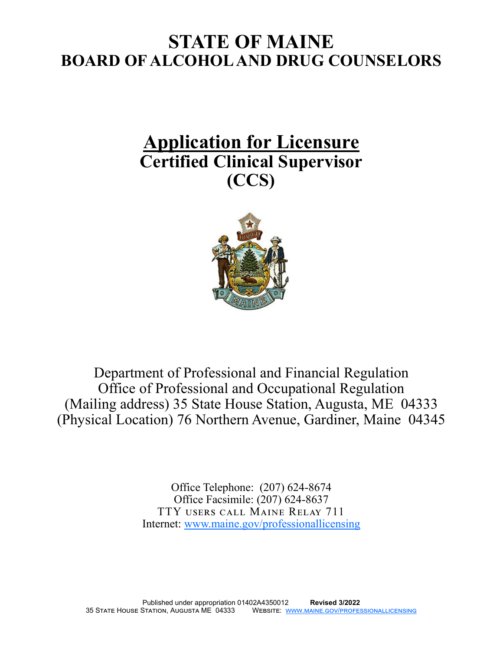# **STATE OF MAINE BOARD OF ALCOHOL AND DRUG COUNSELORS**

# **Application for Licensure Certified Clinical Supervisor (CCS)**



Department of Professional and Financial Regulation Office of Professional and Occupational Regulation (Mailing address) 35 State House Station, Augusta, ME 04333 (Physical Location) 76 Northern Avenue, Gardiner, Maine 04345

> Office Telephone: (207) 624-8674 Office Facsimile: (207) 624-8637 TTY users call Maine Relay 711 Internet: [www.maine.gov/professionallicensing](http://www.maine.gov/professionallicensing)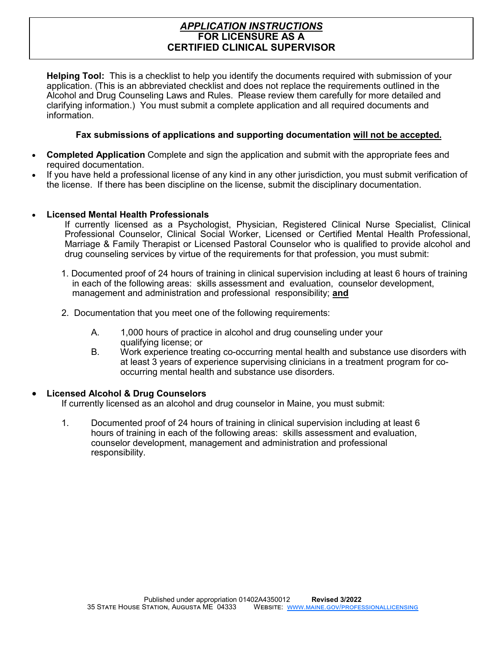### *APPLICATION INSTRUCTIONS* **FOR LICENSURE AS A CERTIFIED CLINICAL SUPERVISOR**

**Helping Tool:** This is a checklist to help you identify the documents required with submission of your application. (This is an abbreviated checklist and does not replace the requirements outlined in the Alcohol and Drug Counseling Laws and Rules. Please review them carefully for more detailed and clarifying information.) You must submit a complete application and all required documents and information.

#### **Fax submissions of applications and supporting documentation will not be accepted.**

- **Completed Application** Complete and sign the application and submit with the appropriate fees and required documentation.
- If you have held a professional license of any kind in any other jurisdiction, you must submit verification of the license. If there has been discipline on the license, submit the disciplinary documentation.

#### • **Licensed Mental Health Professionals**

If currently licensed as a Psychologist, Physician, Registered Clinical Nurse Specialist, Clinical Professional Counselor, Clinical Social Worker, Licensed or Certified Mental Health Professional, Marriage & Family Therapist or Licensed Pastoral Counselor who is qualified to provide alcohol and drug counseling services by virtue of the requirements for that profession, you must submit:

- 1. Documented proof of 24 hours of training in clinical supervision including at least 6 hours of training in each of the following areas: skills assessment and evaluation, counselor development, management and administration and professional responsibility; **and**
- 2. Documentation that you meet one of the following requirements:
	- A. 1,000 hours of practice in alcohol and drug counseling under your qualifying license; or
	- B. Work experience treating co-occurring mental health and substance use disorders with at least 3 years of experience supervising clinicians in a treatment program for cooccurring mental health and substance use disorders.

#### • **Licensed Alcohol & Drug Counselors**

If currently licensed as an alcohol and drug counselor in Maine, you must submit:

1. Documented proof of 24 hours of training in clinical supervision including at least 6 hours of training in each of the following areas: skills assessment and evaluation, counselor development, management and administration and professional responsibility.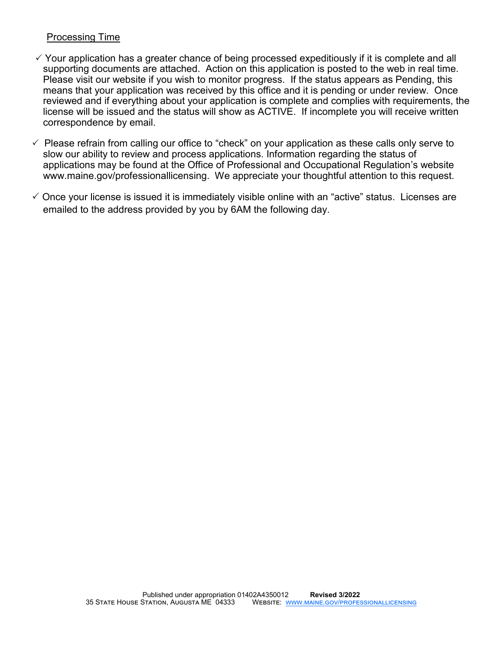## Processing Time

- $\checkmark$  Your application has a greater chance of being processed expeditiously if it is complete and all supporting documents are attached. Action on this application is posted to the web in real time. Please visit our website if you wish to monitor progress. If the status appears as Pending, this means that your application was received by this office and it is pending or under review. Once reviewed and if everything about your application is complete and complies with requirements, the license will be issued and the status will show as ACTIVE. If incomplete you will receive written correspondence by email.
- $\checkmark$  Please refrain from calling our office to "check" on your application as these calls only serve to slow our ability to review and process applications. Information regarding the status of applications may be found at the Office of Professional and Occupational Regulation's website www.maine.gov/professionallicensing. We appreciate your thoughtful attention to this request.
- $\checkmark$  Once your license is issued it is immediately visible online with an "active" status. Licenses are emailed to the address provided by you by 6AM the following day.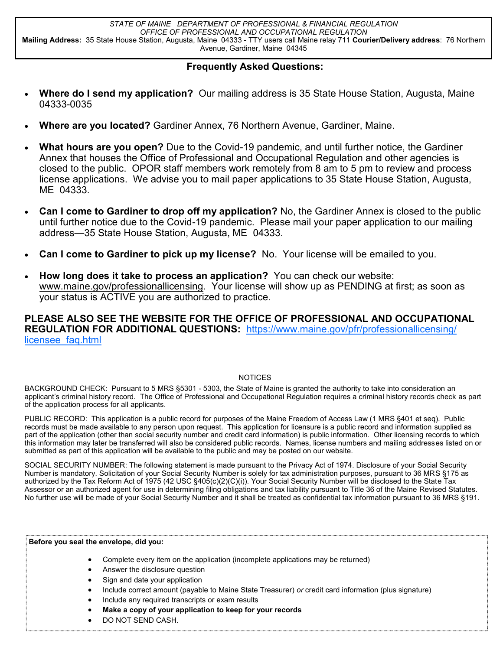#### **Frequently Asked Questions:**

- **Where do I send my application?** Our mailing address is 35 State House Station, Augusta, Maine 04333-0035
- **Where are you located?** Gardiner Annex, 76 Northern Avenue, Gardiner, Maine.
- **What hours are you open?** Due to the Covid-19 pandemic, and until further notice, the Gardiner Annex that houses the Office of Professional and Occupational Regulation and other agencies is closed to the public. OPOR staff members work remotely from 8 am to 5 pm to review and process license applications. We advise you to mail paper applications to 35 State House Station, Augusta, ME 04333.
- **Can I come to Gardiner to drop off my application?** No, the Gardiner Annex is closed to the public until further notice due to the Covid-19 pandemic. Please mail your paper application to our mailing address—35 State House Station, Augusta, ME 04333.
- **Can I come to Gardiner to pick up my license?** No. Your license will be emailed to you.
- **How long does it take to process an application?** You can check our website: www.maine.gov/professionallicensing. Your license will show up as PENDING at first; as soon as your status is ACTIVE you are authorized to practice.

**PLEASE ALSO SEE THE WEBSITE FOR THE OFFICE OF PROFESSIONAL AND OCCUPATIONAL REGULATION FOR ADDITIONAL QUESTIONS:** [https://www.maine.gov/pfr/professionallicensing/](https://www.maine.gov/pfr/professionallicensing/licensee_faq.html) [licensee\\_faq.html](https://www.maine.gov/pfr/professionallicensing/licensee_faq.html)

#### **NOTICES**

BACKGROUND CHECK: Pursuant to 5 MRS §5301 - 5303, the State of Maine is granted the authority to take into consideration an applicant's criminal history record. The Office of Professional and Occupational Regulation requires a criminal history records check as part of the application process for all applicants.

PUBLIC RECORD: This application is a public record for purposes of the Maine Freedom of Access Law (1 MRS §401 et seq). Public records must be made available to any person upon request. This application for licensure is a public record and information supplied as part of the application (other than social security number and credit card information) is public information. Other licensing records to which this information may later be transferred will also be considered public records. Names, license numbers and mailing addresses listed on or submitted as part of this application will be available to the public and may be posted on our website.

SOCIAL SECURITY NUMBER: The following statement is made pursuant to the Privacy Act of 1974. Disclosure of your Social Security Number is mandatory. Solicitation of your Social Security Number is solely for tax administration purposes, pursuant to 36 MRS §175 as authorized by the Tax Reform Act of 1975 (42 USC §405(c)(2)(C)(i)). Your Social Security Number will be disclosed to the State Tax Assessor or an authorized agent for use in determining filing obligations and tax liability pursuant to Title 36 of the Maine Revised Statutes. No further use will be made of your Social Security Number and it shall be treated as confidential tax information pursuant to 36 MRS §191.

#### **Before you seal the envelope, did you:**

- Complete every item on the application (incomplete applications may be returned)
- Answer the disclosure question
- Sign and date your application
- Include correct amount (payable to Maine State Treasurer) *or* credit card information (plus signature)
- Include any required transcripts or exam results
- **Make a copy of your application to keep for your records**
- DO NOT SEND CASH.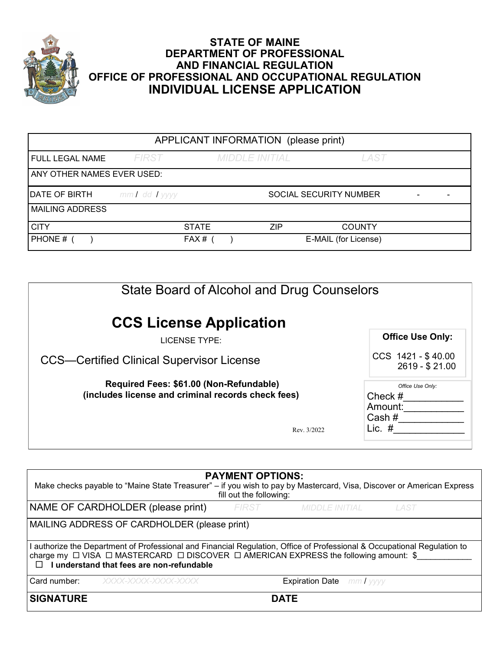

# **STATE OF MAINE DEPARTMENT OF PROFESSIONAL AND FINANCIAL REGULATION OFFICE OF PROFESSIONAL AND OCCUPATIONAL REGULATION INDIVIDUAL LICENSE APPLICATION**

| APPLICANT INFORMATION (please print) |                   |              |                       |            |                               |  |
|--------------------------------------|-------------------|--------------|-----------------------|------------|-------------------------------|--|
| <b>FULL LEGAL NAME</b>               | FIRST             |              | <b>MIDDLE INITIAL</b> |            | LAST                          |  |
| ANY OTHER NAMES EVER USED:           |                   |              |                       |            |                               |  |
| DATE OF BIRTH                        | $mmI$ dd $I$ yyyy |              |                       |            | <b>SOCIAL SECURITY NUMBER</b> |  |
| <b>MAILING ADDRESS</b>               |                   |              |                       |            |                               |  |
| <b>CITY</b>                          |                   | <b>STATE</b> |                       | <b>ZIP</b> | <b>COUNTY</b>                 |  |
| <b>PHONE #</b>                       |                   | $FAX#$ (     |                       |            | E-MAIL (for License)          |  |

| State Board of Alcohol and Drug Counselors                                                    |                                                      |
|-----------------------------------------------------------------------------------------------|------------------------------------------------------|
| <b>CCS License Application</b><br>LICENSE TYPE:                                               | <b>Office Use Only:</b>                              |
| <b>CCS—Certified Clinical Supervisor License</b>                                              | CCS 1421 - \$40.00<br>2619 - \$21.00                 |
| Required Fees: \$61.00 (Non-Refundable)<br>(includes license and criminal records check fees) | Office Use Only:<br>Check $#$<br>Amount:<br>Cash $#$ |
| Rev. 3/2022                                                                                   | Lic. $#$                                             |

| <b>PAYMENT OPTIONS:</b><br>Make checks payable to "Maine State Treasurer" – if you wish to pay by Mastercard, Visa, Discover or American Express<br>fill out the following:                                                                                                                 |                                  |      |  |  |  |
|---------------------------------------------------------------------------------------------------------------------------------------------------------------------------------------------------------------------------------------------------------------------------------------------|----------------------------------|------|--|--|--|
| NAME OF CARDHOLDER (please print)                                                                                                                                                                                                                                                           | <b>FIRST</b><br>MIDDLE INITIAL   | LAST |  |  |  |
| MAILING ADDRESS OF CARDHOLDER (please print)                                                                                                                                                                                                                                                |                                  |      |  |  |  |
| I authorize the Department of Professional and Financial Regulation, Office of Professional & Occupational Regulation to<br>charge my $\Box$ VISA $\Box$ MASTERCARD $\Box$ DISCOVER $\Box$ AMERICAN EXPRESS the following amount: \$<br>I understand that fees are non-refundable<br>$\Box$ |                                  |      |  |  |  |
| Card number:<br>$\chi$ XXXX-XXXX-XXXX-XXXX                                                                                                                                                                                                                                                  | <b>Expiration Date</b> mm / yyyy |      |  |  |  |
| <b>SIGNATURE</b>                                                                                                                                                                                                                                                                            | <b>DATE</b>                      |      |  |  |  |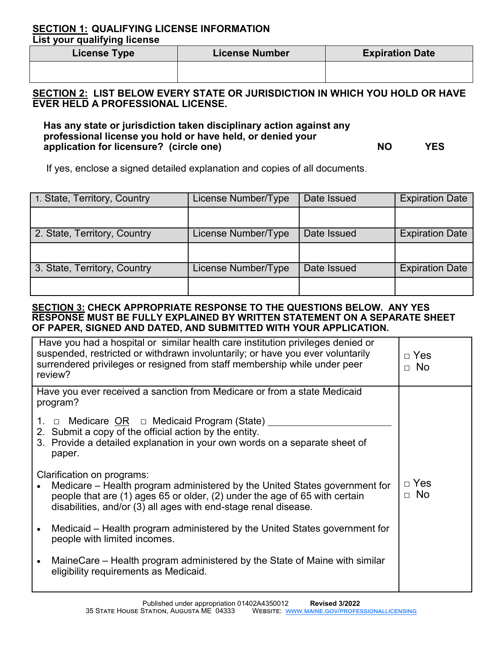#### **SECTION 1: QUALIFYING LICENSE INFORMATION List your qualifying license**

| <b>License Type</b> | License Number | <b>Expiration Date</b> |  |  |
|---------------------|----------------|------------------------|--|--|
|                     |                |                        |  |  |

## **SECTION 2: LIST BELOW EVERY STATE OR JURISDICTION IN WHICH YOU HOLD OR HAVE EVER HELD A PROFESSIONAL LICENSE.**

**Has any state or jurisdiction taken disciplinary action against any professional license you hold or have held, or denied your**  Application for licensure? (circle one) and the state of the state of the state of the state of the state of the state of the state of the state of the state of the state of the state of the state of the state of the state

If yes, enclose a signed detailed explanation and copies of all documents.

| 1. State, Territory, Country | License Number/Type | Date Issued | <b>Expiration Date</b> |
|------------------------------|---------------------|-------------|------------------------|
|                              |                     |             |                        |
| 2. State, Territory, Country | License Number/Type | Date Issued | <b>Expiration Date</b> |
|                              |                     |             |                        |
| 3. State, Territory, Country | License Number/Type | Date Issued | <b>Expiration Date</b> |
|                              |                     |             |                        |

#### **SECTION 3: CHECK APPROPRIATE RESPONSE TO THE QUESTIONS BELOW. ANY YES RESPONSE MUST BE FULLY EXPLAINED BY WRITTEN STATEMENT ON A SEPARATE SHEET OF PAPER, SIGNED AND DATED, AND SUBMITTED WITH YOUR APPLICATION.**

| Have you had a hospital or similar health care institution privileges denied or<br>suspended, restricted or withdrawn involuntarily; or have you ever voluntarily<br>surrendered privileges or resigned from staff membership while under peer<br>review? | $\Box$ Yes<br>$\Box$ No |
|-----------------------------------------------------------------------------------------------------------------------------------------------------------------------------------------------------------------------------------------------------------|-------------------------|
| Have you ever received a sanction from Medicare or from a state Medicaid<br>program?                                                                                                                                                                      |                         |
| 1. □ Medicare <u>OR</u> □ Medicaid Program (State) __<br>2. Submit a copy of the official action by the entity.<br>3. Provide a detailed explanation in your own words on a separate sheet of<br>paper.                                                   |                         |
| Clarification on programs:<br>Medicare – Health program administered by the United States government for<br>people that are (1) ages 65 or older, (2) under the age of 65 with certain<br>disabilities, and/or (3) all ages with end-stage renal disease. | $\Box$ Yes<br>$\Box$ No |
| Medicaid – Health program administered by the United States government for<br>people with limited incomes.                                                                                                                                                |                         |
| • MaineCare – Health program administered by the State of Maine with similar<br>eligibility requirements as Medicaid.                                                                                                                                     |                         |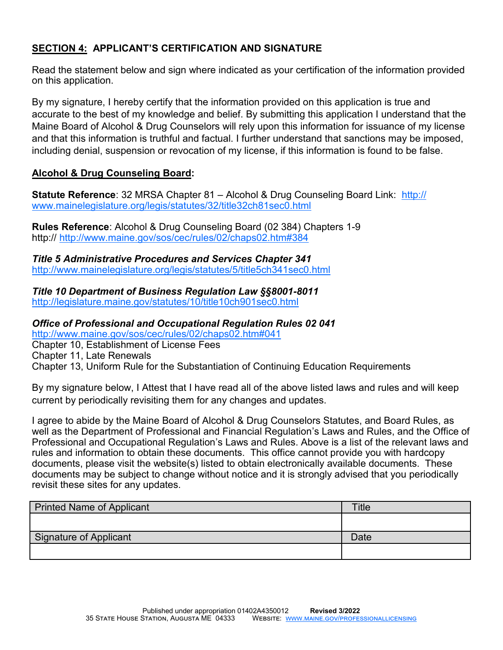# **SECTION 4: APPLICANT'S CERTIFICATION AND SIGNATURE**

Read the statement below and sign where indicated as your certification of the information provided on this application.

By my signature, I hereby certify that the information provided on this application is true and accurate to the best of my knowledge and belief. By submitting this application I understand that the Maine Board of Alcohol & Drug Counselors will rely upon this information for issuance of my license and that this information is truthful and factual. I further understand that sanctions may be imposed, including denial, suspension or revocation of my license, if this information is found to be false.

# **Alcohol & Drug Counseling Board:**

**Statute Reference**: 32 MRSA Chapter 81 – Alcohol & Drug Counseling Board Link: [http://](http://www.mainelegislature.org/legis/statutes/32/title32ch81sec0.html) [www.mainelegislature.org/legis/statutes/32/title32ch81sec0.html](http://www.mainelegislature.org/legis/statutes/32/title32ch81sec0.html)

**Rules Reference**: Alcohol & Drug Counseling Board (02 384) Chapters 1-9 http://<http://www.maine.gov/sos/cec/rules/02/chaps02.htm#384>

*Title 5 Administrative Procedures and Services Chapter 341* <http://www.mainelegislature.org/legis/statutes/5/title5ch341sec0.html>

*Title 10 Department of Business Regulation Law §§8001-8011* <http://legislature.maine.gov/statutes/10/title10ch901sec0.html>

*Office of Professional and Occupational Regulation Rules 02 041* <http://www.maine.gov/sos/cec/rules/02/chaps02.htm#041>

Chapter 10, Establishment of License Fees

Chapter 11, Late Renewals

Chapter 13, Uniform Rule for the Substantiation of Continuing Education Requirements

By my signature below, I Attest that I have read all of the above listed laws and rules and will keep current by periodically revisiting them for any changes and updates.

I agree to abide by the Maine Board of Alcohol & Drug Counselors Statutes, and Board Rules, as well as the Department of Professional and Financial Regulation's Laws and Rules, and the Office of Professional and Occupational Regulation's Laws and Rules. Above is a list of the relevant laws and rules and information to obtain these documents. This office cannot provide you with hardcopy documents, please visit the website(s) listed to obtain electronically available documents. These documents may be subject to change without notice and it is strongly advised that you periodically revisit these sites for any updates.

| <b>Printed Name of Applicant</b> | <b>Title</b> |
|----------------------------------|--------------|
|                                  |              |
| Signature of Applicant           | Date         |
|                                  |              |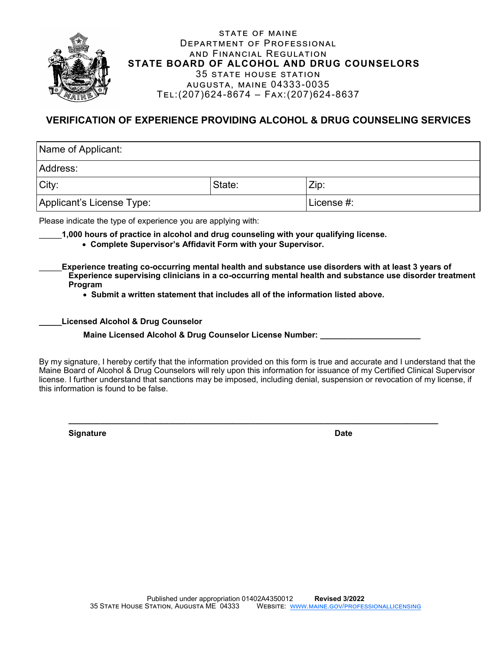

#### state of maine Department of Professional and Financial Regulation  **STATE BOARD OF ALCOHOL AND DRUG COUNSELORS** 35 state house station augusta, maine 04333-0035 Tel:(207)624-8674 – Fax:(207)624-8637

# **VERIFICATION OF EXPERIENCE PROVIDING ALCOHOL & DRUG COUNSELING SERVICES**

| Name of Applicant:        |            |      |  |  |
|---------------------------|------------|------|--|--|
| Address:                  |            |      |  |  |
| City:                     | State:     | Zip: |  |  |
| Applicant's License Type: | License #: |      |  |  |

Please indicate the type of experience you are applying with:

- \_\_\_\_\_**1,000 hours of practice in alcohol and drug counseling with your qualifying license.**
	- • **Complete Supervisor's Affidavit Form with your Supervisor.**
- \_\_\_\_\_**Experience treating co-occurring mental health and substance use disorders with at least 3 years of Experience supervising clinicians in a co-occurring mental health and substance use disorder treatment Program**
	- • **Submit a written statement that includes all of the information listed above.**

#### **\_\_\_\_\_Licensed Alcohol & Drug Counselor**

**Maine Licensed Alcohol & Drug Counselor License Number:** 

By my signature, I hereby certify that the information provided on this form is true and accurate and I understand that the Maine Board of Alcohol & Drug Counselors will rely upon this information for issuance of my Certified Clinical Supervisor license. I further understand that sanctions may be imposed, including denial, suspension or revocation of my license, if this information is found to be false.

**\_\_\_\_\_\_\_\_\_\_\_\_\_\_\_\_\_\_\_\_\_\_\_\_\_\_\_\_\_\_\_\_\_\_\_\_\_\_\_\_\_\_\_\_\_\_\_\_\_\_\_\_\_\_\_\_\_\_\_\_\_\_\_\_\_\_\_\_\_\_\_\_\_\_\_\_\_\_\_\_\_**

**Signature Date**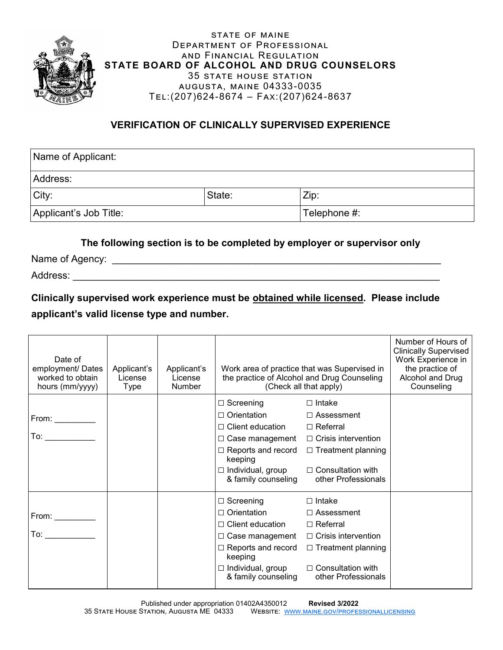

STATE OF MAINE Department of Professional and Financial Regulation **STATE BOARD OF ALCOHOL AND DRUG COUNSELORS** 35 state house station augusta, maine 04333-0035 Tel:(207)624-8674 – Fax:(207)624-8637

# **VERIFICATION OF CLINICALLY SUPERVISED EXPERIENCE**

| Name of Applicant:                     |        |      |  |  |  |
|----------------------------------------|--------|------|--|--|--|
| Address:                               |        |      |  |  |  |
| City:                                  | State: | Zip: |  |  |  |
| Applicant's Job Title:<br>Telephone #: |        |      |  |  |  |

## **The following section is to be completed by employer or supervisor only**

Name of Agency: \_\_\_\_\_\_\_\_\_\_\_\_\_\_\_\_\_\_\_\_\_\_\_\_\_\_\_\_\_\_\_\_\_\_\_\_\_\_\_\_\_\_\_\_\_\_\_\_\_\_\_\_\_\_\_\_\_\_\_\_

Address: \_\_\_\_\_\_\_\_\_\_\_\_\_\_\_\_\_\_\_\_\_\_\_\_\_\_\_\_\_\_\_\_\_\_\_\_\_\_\_\_\_\_\_\_\_\_\_\_\_\_\_\_\_\_\_\_\_\_\_\_\_\_\_\_\_\_\_

**Clinically supervised work experience must be obtained while licensed. Please include applicant's valid license type and number.**

| Date of<br>employment/ Dates<br>worked to obtain<br>hours (mm/yyyy) | Applicant's<br>License<br><b>Type</b> | Applicant's<br>License<br>Number | Work area of practice that was Supervised in<br>the practice of Alcohol and Drug Counseling<br>(Check all that apply)                                                                                             |                                                                                                                                                                 | Number of Hours of<br><b>Clinically Supervised</b><br>Work Experience in<br>the practice of<br>Alcohol and Drug<br>Counseling |
|---------------------------------------------------------------------|---------------------------------------|----------------------------------|-------------------------------------------------------------------------------------------------------------------------------------------------------------------------------------------------------------------|-----------------------------------------------------------------------------------------------------------------------------------------------------------------|-------------------------------------------------------------------------------------------------------------------------------|
| To: $\overline{\phantom{a}}$                                        |                                       |                                  | $\Box$ Screening<br>$\Box$ Orientation<br>$\Box$ Client education<br>$\Box$ Case management $\Box$ Crisis intervention<br>keeping<br>$\Box$ Individual, group<br>& family counseling                              | $\Box$ Intake<br>$\Box$ Assessment<br>$\Box$ Referral<br>$\Box$ Reports and record $\Box$ Treatment planning<br>$\Box$ Consultation with<br>other Professionals |                                                                                                                               |
| To: $\qquad \qquad \qquad$                                          |                                       |                                  | $\Box$ Screening<br>$\Box$ Orientation<br>$\Box$ Client education<br>$\Box$ Case management $\Box$ Crisis intervention<br>$\Box$ Reports and record<br>keeping<br>$\Box$ Individual, group<br>& family counseling | $\Box$ Intake<br>$\Box$ Assessment<br>□ Referral<br>$\Box$ Treatment planning<br>$\Box$ Consultation with<br>other Professionals                                |                                                                                                                               |